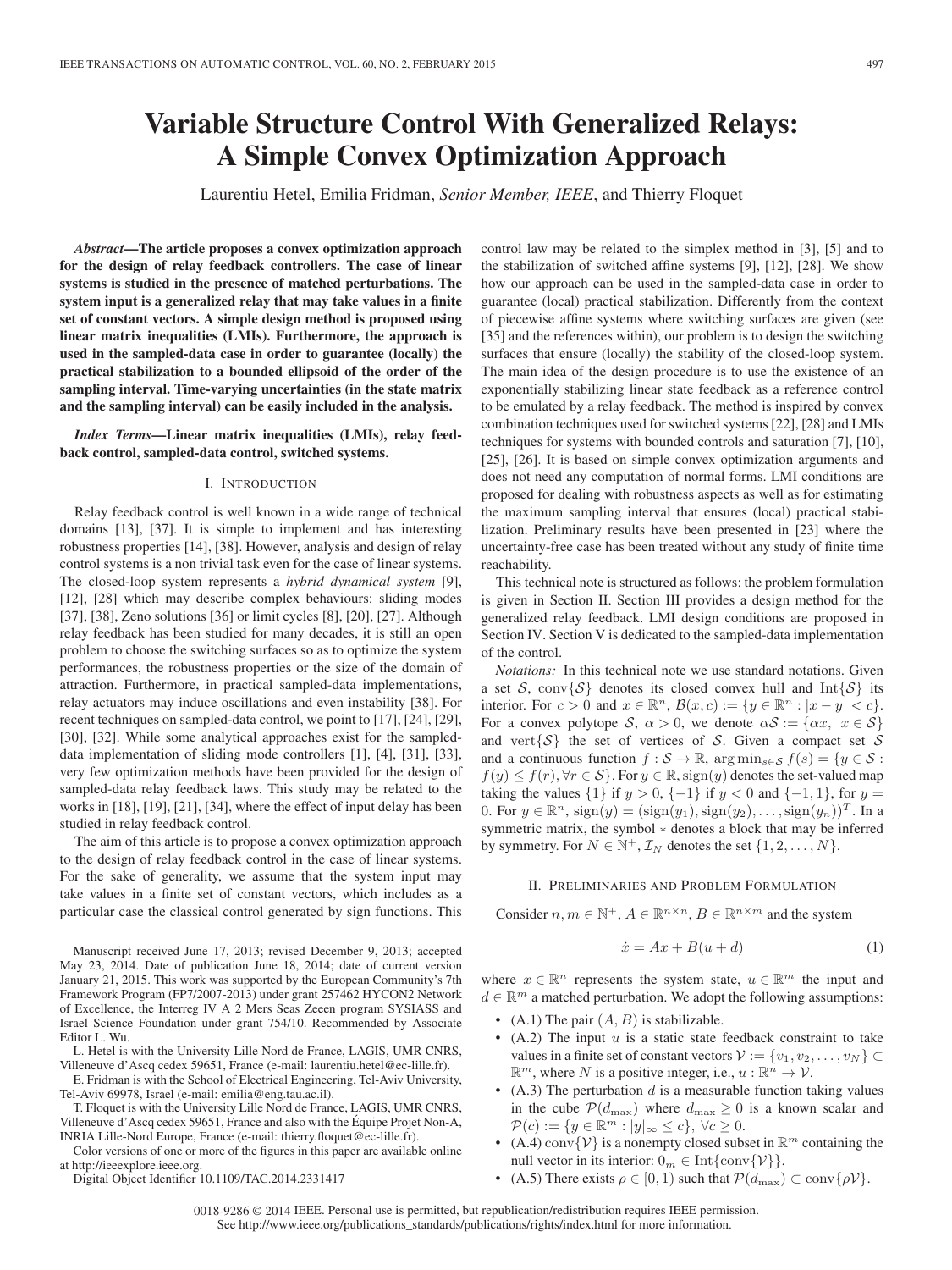# **Variable Structure Control With Generalized Relays: A Simple Convex Optimization Approach**

Laurentiu Hetel, Emilia Fridman, *Senior Member, IEEE*, and Thierry Floquet

*Abstract***—The article proposes a convex optimization approach for the design of relay feedback controllers. The case of linear systems is studied in the presence of matched perturbations. The system input is a generalized relay that may take values in a finite set of constant vectors. A simple design method is proposed using linear matrix inequalities (LMIs). Furthermore, the approach is used in the sampled-data case in order to guarantee (locally) the practical stabilization to a bounded ellipsoid of the order of the sampling interval. Time-varying uncertainties (in the state matrix and the sampling interval) can be easily included in the analysis.**

*Index Terms***—Linear matrix inequalities (LMIs), relay feedback control, sampled-data control, switched systems.**

# I. INTRODUCTION

Relay feedback control is well known in a wide range of technical domains [13], [37]. It is simple to implement and has interesting robustness properties [14], [38]. However, analysis and design of relay control systems is a non trivial task even for the case of linear systems. The closed-loop system represents a *hybrid dynamical system* [9], [12], [28] which may describe complex behaviours: sliding modes [37], [38], Zeno solutions [36] or limit cycles [8], [20], [27]. Although relay feedback has been studied for many decades, it is still an open problem to choose the switching surfaces so as to optimize the system performances, the robustness properties or the size of the domain of attraction. Furthermore, in practical sampled-data implementations, relay actuators may induce oscillations and even instability [38]. For recent techniques on sampled-data control, we point to [17], [24], [29], [30], [32]. While some analytical approaches exist for the sampleddata implementation of sliding mode controllers [1], [4], [31], [33], very few optimization methods have been provided for the design of sampled-data relay feedback laws. This study may be related to the works in [18], [19], [21], [34], where the effect of input delay has been studied in relay feedback control.

The aim of this article is to propose a convex optimization approach to the design of relay feedback control in the case of linear systems. For the sake of generality, we assume that the system input may take values in a finite set of constant vectors, which includes as a particular case the classical control generated by sign functions. This

Manuscript received June 17, 2013; revised December 9, 2013; accepted May 23, 2014. Date of publication June 18, 2014; date of current version January 21, 2015. This work was supported by the European Community's 7th Framework Program (FP7/2007-2013) under grant 257462 HYCON2 Network of Excellence, the Interreg IV A 2 Mers Seas Zeeen program SYSIASS and Israel Science Foundation under grant 754/10. Recommended by Associate Editor L. Wu.

L. Hetel is with the University Lille Nord de France, LAGIS, UMR CNRS, Villeneuve d'Ascq cedex 59651, France (e-mail: laurentiu.hetel@ec-lille.fr).

E. Fridman is with the School of Electrical Engineering, Tel-Aviv University, Tel-Aviv 69978, Israel (e-mail: emilia@eng.tau.ac.il).

T. Floquet is with the University Lille Nord de France, LAGIS, UMR CNRS, Villeneuve d'Ascq cedex 59651, France and also with the Équipe Projet Non-A, INRIA Lille-Nord Europe, France (e-mail: thierry.floquet@ec-lille.fr).

Color versions of one or more of the figures in this paper are available online at http://ieeexplore.ieee.org.

Digital Object Identifier 10.1109/TAC.2014.2331417

control law may be related to the simplex method in [3], [5] and to the stabilization of switched affine systems [9], [12], [28]. We show how our approach can be used in the sampled-data case in order to guarantee (local) practical stabilization. Differently from the context of piecewise affine systems where switching surfaces are given (see [35] and the references within), our problem is to design the switching surfaces that ensure (locally) the stability of the closed-loop system. The main idea of the design procedure is to use the existence of an exponentially stabilizing linear state feedback as a reference control to be emulated by a relay feedback. The method is inspired by convex combination techniques used for switched systems [22], [28] and LMIs techniques for systems with bounded controls and saturation [7], [10], [25], [26]. It is based on simple convex optimization arguments and does not need any computation of normal forms. LMI conditions are proposed for dealing with robustness aspects as well as for estimating the maximum sampling interval that ensures (local) practical stabilization. Preliminary results have been presented in [23] where the uncertainty-free case has been treated without any study of finite time reachability.

This technical note is structured as follows: the problem formulation is given in Section II. Section III provides a design method for the generalized relay feedback. LMI design conditions are proposed in Section IV. Section V is dedicated to the sampled-data implementation of the control.

*Notations:* In this technical note we use standard notations. Given a set S, conv $\{S\}$  denotes its closed convex hull and Int $\{S\}$  its interior. For  $c > 0$  and  $x \in \mathbb{R}^n$ ,  $\mathcal{B}(x, c) := \{y \in \mathbb{R}^n : |x - y| < c\}.$ For a convex polytope S,  $\alpha > 0$ , we denote  $\alpha S := \{ \alpha x, x \in S \}$ and vert $\{S\}$  the set of vertices of S. Given a compact set S and a continuous function  $f : \mathcal{S} \to \mathbb{R}$ ,  $\arg \min_{s \in \mathcal{S}} f(s) = \{y \in \mathcal{S} :$  $f(y) \le f(r)$ ,  $\forall r \in S$ . For  $y \in \mathbb{R}$ ,  $sign(y)$  denotes the set-valued map taking the values  $\{1\}$  if  $y > 0$ ,  $\{-1\}$  if  $y < 0$  and  $\{-1, 1\}$ , for  $y =$ 0. For  $y \in \mathbb{R}^n$ ,  $sign(y) = (sign(y_1), sign(y_2), \ldots, sign(y_n))^T$ . In a symmetric matrix, the symbol ∗ denotes a block that may be inferred by symmetry. For  $N \in \mathbb{N}^+$ ,  $\mathcal{I}_N$  denotes the set  $\{1, 2, ..., N\}$ .

### II. PRELIMINARIES AND PROBLEM FORMULATION

Consider  $n, m \in \mathbb{N}^+, A \in \mathbb{R}^{n \times n}, B \in \mathbb{R}^{n \times m}$  and the system

$$
\dot{x} = Ax + B(u + d) \tag{1}
$$

where  $x \in \mathbb{R}^n$  represents the system state,  $u \in \mathbb{R}^m$  the input and  $d \in \mathbb{R}^m$  a matched perturbation. We adopt the following assumptions:

- (A.1) The pair  $(A, B)$  is stabilizable.
- $(A.2)$  The input u is a static state feedback constraint to take values in a finite set of constant vectors  $V := \{v_1, v_2, \ldots, v_N\} \subset$  $\mathbb{R}^m$ , where N is a positive integer, i.e.,  $u : \mathbb{R}^n \to V$ .
- (A.3) The perturbation  $d$  is a measurable function taking values in the cube  $\mathcal{P}(d_{\text{max}})$  where  $d_{\text{max}} \geq 0$  is a known scalar and  $\mathcal{P}(c) := \{y \in \mathbb{R}^m : |y|_{\infty} \leq c\}, \ \forall c \geq 0.$
- (A.4) conv $\{\mathcal{V}\}$  is a nonempty closed subset in  $\mathbb{R}^m$  containing the null vector in its interior:  $0_m \in \text{Int}\{\text{conv}\{\mathcal{V}\}\}.$
- (A.5) There exists  $\rho \in [0, 1)$  such that  $\mathcal{P}(d_{\text{max}}) \subset \text{conv}\{\rho \mathcal{V}\}.$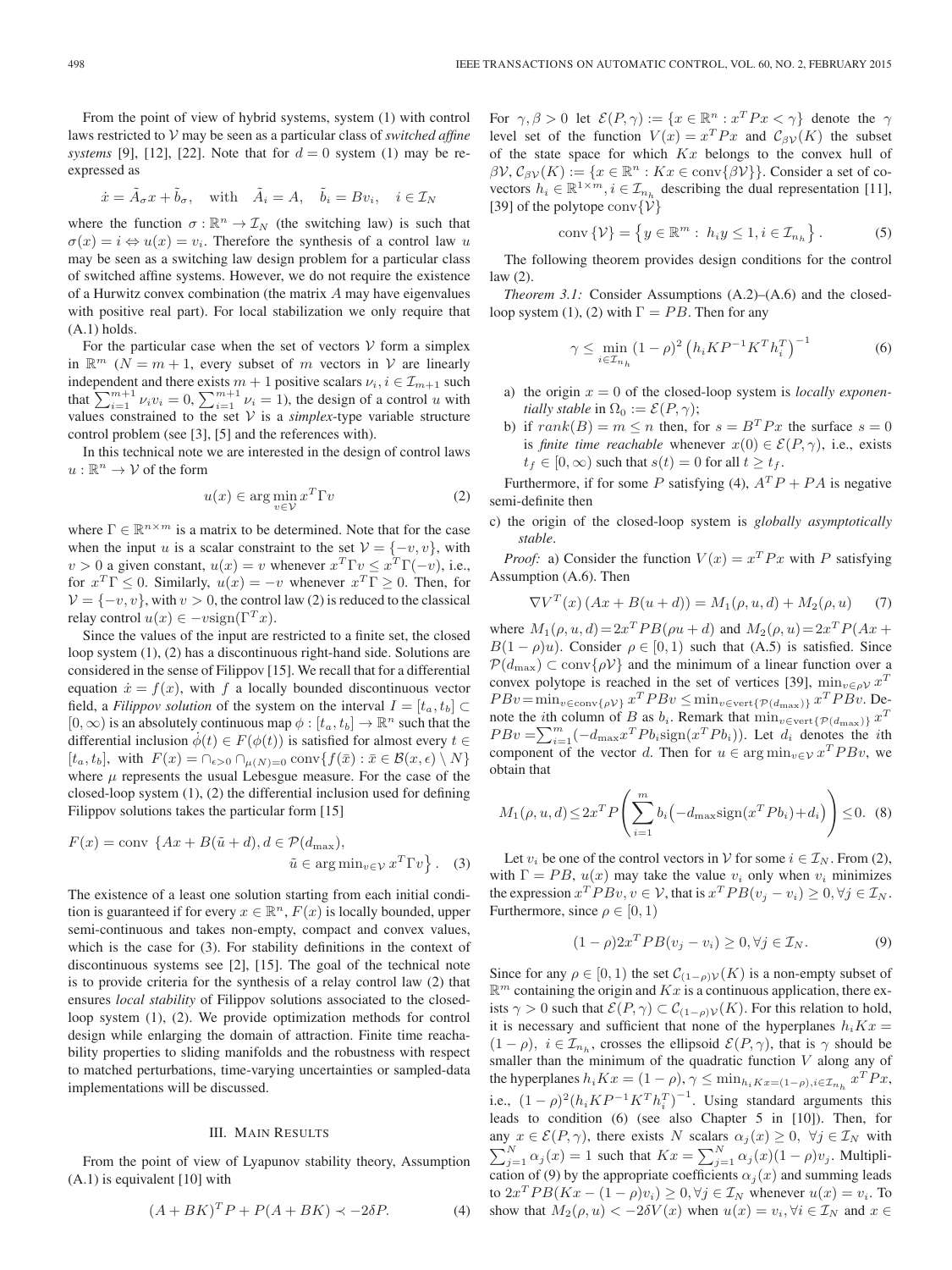From the point of view of hybrid systems, system (1) with control laws restricted to V may be seen as a particular class of *switched affine systems* [9], [12], [22]. Note that for  $d = 0$  system (1) may be reexpressed as

$$
\dot{x} = \tilde{A}_{\sigma}x + \tilde{b}_{\sigma}, \quad \text{with} \quad \tilde{A}_{i} = A, \quad \tilde{b}_{i} = Bv_{i}, \quad i \in \mathcal{I}_{N}
$$

where the function  $\sigma : \mathbb{R}^n \to \mathcal{I}_N$  (the switching law) is such that  $\sigma(x) = i \Leftrightarrow u(x) = v_i$ . Therefore the synthesis of a control law u may be seen as a switching law design problem for a particular class of switched affine systems. However, we do not require the existence of a Hurwitz convex combination (the matrix A may have eigenvalues with positive real part). For local stabilization we only require that  $(A.1)$  holds.

For the particular case when the set of vectors  $V$  form a simplex in  $\mathbb{R}^m$  ( $N = m + 1$ , every subset of m vectors in V are linearly independent and there exists  $m + 1$  positive scalars  $\nu_i, i \in \mathcal{I}_{m+1}$  such that  $\sum_{i=1}^{m+1} \nu_i v_i = 0$ ,  $\sum_{i=1}^{m+1} \nu_i = 1$ ), the design of a control u with values constrained to the set  $V$  is a *simplex*-type variable structure control problem (see [3], [5] and the references with).

In this technical note we are interested in the design of control laws  $u:\mathbb{R}^n\to\mathcal{V}$  of the form

$$
u(x) \in \arg\min_{v \in \mathcal{V}} x^T \Gamma v \tag{2}
$$

where  $\Gamma \in \mathbb{R}^{n \times m}$  is a matrix to be determined. Note that for the case when the input u is a scalar constraint to the set  $V = \{-v, v\}$ , with  $v > 0$  a given constant,  $u(x) = v$  whenever  $x^T \Gamma v \leq x^T \Gamma(-v)$ , i.e., for  $x^T \Gamma \leq 0$ . Similarly,  $u(x) = -v$  whenever  $x^T \Gamma \geq 0$ . Then, for  $V = \{-v, v\}$ , with  $v > 0$ , the control law (2) is reduced to the classical relay control  $u(x) \in -v$ sign( $\Gamma^{T}x$ ).

Since the values of the input are restricted to a finite set, the closed loop system (1), (2) has a discontinuous right-hand side. Solutions are considered in the sense of Filippov [15]. We recall that for a differential equation  $\dot{x} = f(x)$ , with f a locally bounded discontinuous vector field, a *Filippov solution* of the system on the interval  $I = [t_a, t_b]$  $[0, \infty)$  is an absolutely continuous map  $\phi : [t_a, t_b] \to \mathbb{R}^n$  such that the differential inclusion  $\phi(t) \in F(\phi(t))$  is satisfied for almost every  $t \in$  $[t_a, t_b]$ , with  $F(x) = \bigcap_{\epsilon > 0} \bigcap_{\mu(N)=0} \text{conv}\{f(\bar{x}) : \bar{x} \in \mathcal{B}(x, \epsilon) \setminus N\}$ where  $\mu$  represents the usual Lebesgue measure. For the case of the closed-loop system (1), (2) the differential inclusion used for defining Filippov solutions takes the particular form [15]

$$
F(x) = \text{conv} \left\{ Ax + B(\tilde{u} + d), d \in \mathcal{P}(d_{\text{max}}),
$$
  

$$
\tilde{u} \in \arg \min_{v \in \mathcal{V}} x^T \Gamma v \right\}.
$$
 (3)

The existence of a least one solution starting from each initial condition is guaranteed if for every  $x \in \mathbb{R}^n$ ,  $F(x)$  is locally bounded, upper semi-continuous and takes non-empty, compact and convex values, which is the case for (3). For stability definitions in the context of discontinuous systems see [2], [15]. The goal of the technical note is to provide criteria for the synthesis of a relay control law (2) that ensures *local stability* of Filippov solutions associated to the closedloop system (1), (2). We provide optimization methods for control design while enlarging the domain of attraction. Finite time reachability properties to sliding manifolds and the robustness with respect to matched perturbations, time-varying uncertainties or sampled-data implementations will be discussed.

#### III. MAIN RESULTS

From the point of view of Lyapunov stability theory, Assumption (A.1) is equivalent [10] with

$$
(A + BK)^T P + P(A + BK) \prec -2\delta P. \tag{4}
$$

For  $\gamma, \beta > 0$  let  $\mathcal{E}(P, \gamma) := \{x \in \mathbb{R}^n : x^T P x < \gamma\}$  denote the  $\gamma$ level set of the function  $V(x) = x^T P x$  and  $C_{\beta\gamma}(K)$  the subset of the state space for which  $Kx$  belongs to the convex hull of  $\beta V$ ,  $C_{\beta V}(K) := \{x \in \mathbb{R}^n : Kx \in \text{conv}\{\beta V\}\}\.$  Consider a set of covectors  $h_i \in \mathbb{R}^{1 \times m}$ ,  $i \in \mathcal{I}_{n_h}$  describing the dual representation [11], [39] of the polytope conv $\{\mathcal{V}\}\$ 

$$
conv\{\mathcal{V}\} = \left\{ y \in \mathbb{R}^m : h_i y \le 1, i \in \mathcal{I}_{n_h} \right\}.
$$
 (5)

The following theorem provides design conditions for the control law (2).

*Theorem 3.1:* Consider Assumptions (A.2)–(A.6) and the closedloop system (1), (2) with  $\Gamma = PB$ . Then for any

$$
\gamma \le \min_{i \in \mathcal{I}_{n_h}} (1 - \rho)^2 \left( h_i K P^{-1} K^T h_i^T \right)^{-1} \tag{6}
$$

- a) the origin  $x = 0$  of the closed-loop system is *locally exponentially stable* in  $\Omega_0 := \mathcal{E}(P, \gamma)$ ;
- b) if  $rank(B) = m \leq n$  then, for  $s = B^{T} P x$  the surface  $s = 0$ is *finite time reachable* whenever  $x(0) \in \mathcal{E}(P, \gamma)$ , i.e., exists  $t_f \in [0,\infty)$  such that  $s(t)=0$  for all  $t \geq t_f$ .

Furthermore, if for some P satisfying (4),  $A^T P + P A$  is negative semi-definite then

c) the origin of the closed-loop system is *globally asymptotically stable*.

*Proof:* a) Consider the function  $V(x) = x^T P x$  with P satisfying Assumption (A.6). Then

$$
\nabla V^{T}(x) (Ax + B(u + d)) = M_{1}(\rho, u, d) + M_{2}(\rho, u)
$$
 (7)

where  $M_1(\rho, u, d) = 2x^T PB(\rho u + d)$  and  $M_2(\rho, u) = 2x^T P(Ax +$  $B(1 - \rho)u$ ). Consider  $\rho \in [0, 1)$  such that (A.5) is satisfied. Since  $P(d_{\text{max}}) \subset \text{conv}{\rho V}$  and the minimum of a linear function over a convex polytope is reached in the set of vertices [39],  $\min_{v \in \rho} x^T$  $PBv=\min_{v\in \text{conv}\{\rho V\}} x^T PBv \leq \min_{v\in \text{vert}\{\mathcal{P}(d_{\text{max}})\}} x^T PBv$ . Denote the *i*th column of B as  $b_i$ . Remark that  $\min_{v \in \text{vert}\{\mathcal{P}(d_{\max})\}} x^T$  $PBv = \sum_{i=1}^{m} (-d_{\text{max}}x^T P b_i \text{sign}(x^T P b_i))$ . Let  $d_i$  denotes the *i*th component of the vector d. Then for  $u \in \arg\min_{v \in \mathcal{V}} x^T P B v$ , we obtain that

$$
M_1(\rho, u, d) \le 2x^T P\left(\sum_{i=1}^m b_i \left(-d_{\text{max}} sign(x^T P b_i) + d_i\right)\right) \le 0. \tag{8}
$$

Let  $v_i$  be one of the control vectors in V for some  $i \in \mathcal{I}_N$ . From (2), with  $\Gamma = PB$ ,  $u(x)$  may take the value  $v_i$  only when  $v_i$  minimizes the expression  $x^TPBv, v \in V$ , that is  $x^TPB(v_i - v_i) \geq 0, \forall j \in \mathcal{I}_N$ . Furthermore, since  $\rho \in [0, 1)$ 

$$
(1 - \rho)2x^T PB(v_j - v_i) \ge 0, \forall j \in \mathcal{I}_N. \tag{9}
$$

Since for any  $\rho \in [0, 1)$  the set  $\mathcal{C}_{(1-\rho)\mathcal{V}}(K)$  is a non-empty subset of  $\mathbb{R}^m$  containing the origin and  $Kx$  is a continuous application, there exists  $\gamma > 0$  such that  $\mathcal{E}(P, \gamma) \subset C_{(1-\rho)\mathcal{V}}(K)$ . For this relation to hold, it is necessary and sufficient that none of the hyperplanes  $h_iKx =$  $(1 - \rho)$ ,  $i \in \mathcal{I}_{n_h}$ , crosses the ellipsoid  $\mathcal{E}(P, \gamma)$ , that is  $\gamma$  should be smaller than the minimum of the quadratic function  $V$  along any of the hyperplanes  $h_i Kx = (1 - \rho), \gamma \leq \min_{h_i Kx = (1 - \rho), i \in \mathcal{I}_{n_h}} x^T P x$ , i.e.,  $(1 - \rho)^2 (h_i K P^{-1} K^T h_i^T)^{-1}$ . Using standard arguments this leads to condition (6) (see also Chapter 5 in [10]). Then, for any  $x \in \mathcal{E}(P, \gamma)$ , there exists N scalars  $\alpha_j(x) \geq 0$ ,  $\forall j \in \mathcal{I}_N$  with  $\sum_{i=1}^N$  $\sum_{j=1}^{N} \alpha_j(x) = 1$  such that  $Kx = \sum_{j=1}^{N} \alpha_j(x) (1 - \rho) v_j$ . Multiplication of (9) by the appropriate coefficients  $\alpha_i(x)$  and summing leads to  $2x^T PB(Kx - (1 - \rho)v_i) \geq 0, \forall j \in \mathcal{I}_N$  whenever  $u(x) = v_i$ . To show that  $M_2(\rho, u) < -2\delta V(x)$  when  $u(x) = v_i, \forall i \in \mathcal{I}_N$  and  $x \in$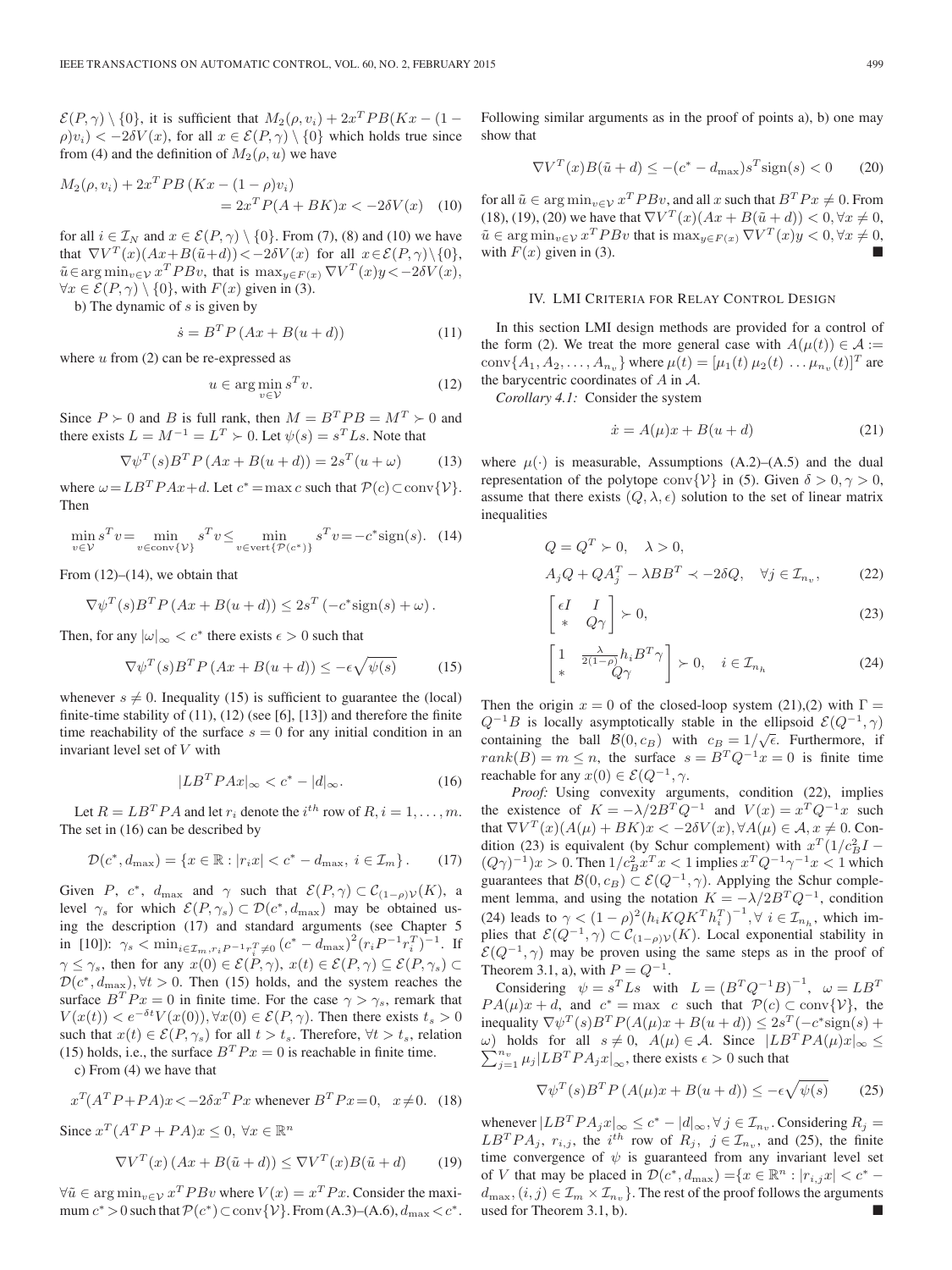$\mathcal{E}(P, \gamma) \setminus \{0\}$ , it is sufficient that  $M_2(\rho, v_i) + 2x^T PB(Kx - (1 \rho|v_i| < -2\delta V(x)$ , for all  $x \in \mathcal{E}(P,\gamma) \setminus \{0\}$  which holds true since from (4) and the definition of  $M_2(\rho, u)$  we have

$$
M_2(\rho, v_i) + 2x^T PB \left( Kx - (1 - \rho)v_i \right) = 2x^T P(A + BK)x < -2\delta V(x)
$$
 (10)

for all  $i \in \mathcal{I}_N$  and  $x \in \mathcal{E}(P, \gamma) \setminus \{0\}$ . From (7), (8) and (10) we have that  $\nabla V^T(x)(Ax+B(\tilde{u}+d)) < -2\delta V(x)$  for all  $x \in \mathcal{E}(P,\gamma) \setminus \{0\},$  $\tilde{u} \in \arg\min_{v \in \mathcal{V}} x^T P B v$ , that is  $\max_{y \in F(x)} \nabla V^T(x) y < -2\delta V(x)$ ,  $\forall x \in \mathcal{E}(P, \gamma) \setminus \{0\}$ , with  $F(x)$  given in (3).

b) The dynamic of  $s$  is given by

$$
\dot{s} = B^T P \left( Ax + B(u + d) \right) \tag{11}
$$

where  $u$  from  $(2)$  can be re-expressed as

$$
u \in \arg\min_{v \in \mathcal{V}} s^T v. \tag{12}
$$

Since  $P \succ 0$  and B is full rank, then  $M = B^T P B = M^T \succ 0$  and there exists  $L = M^{-1} = L^T \succ 0$ . Let  $\psi(s) = s^T L s$ . Note that

$$
\nabla \psi^T(s) B^T P \left( Ax + B(u+d) \right) = 2s^T (u+\omega) \tag{13}
$$

where  $\omega = LB^T P Ax + d$ . Let  $c^* = \max c$  such that  $P(c) \subset \text{conv}\{\mathcal{V}\}.$ Then

$$
\min_{v \in \mathcal{V}} s^T v = \min_{v \in \text{conv}\{\mathcal{V}\}} s^T v \le \min_{v \in \text{vert}\{\mathcal{P}(c^*)\}} s^T v = -c^* \text{sign}(s). \tag{14}
$$

From  $(12)$ – $(14)$ , we obtain that

$$
\nabla \psi^T(s) B^T P (Ax + B(u + d)) \leq 2s^T (-c^* \text{sign}(s) + \omega).
$$

Then, for any  $|\omega|_{\infty} < c^*$  there exists  $\epsilon > 0$  such that

$$
\nabla \psi^T(s) B^T P \left( Ax + B(u+d) \right) \le -\epsilon \sqrt{\psi(s)} \tag{15}
$$

whenever  $s \neq 0$ . Inequality (15) is sufficient to guarantee the (local) finite-time stability of  $(11)$ ,  $(12)$  (see [6], [13]) and therefore the finite time reachability of the surface  $s = 0$  for any initial condition in an invariant level set of V with

$$
|LB^T P Ax|_{\infty} < c^* - |d|_{\infty}.\tag{16}
$$

Let  $R = LB^TPA$  and let  $r_i$  denote the  $i^{th}$  row of  $R, i = 1, \ldots, m$ . The set in (16) can be described by

$$
\mathcal{D}(c^*, d_{\max}) = \{x \in \mathbb{R} : |r_i x| < c^* - d_{\max}, \ i \in \mathcal{I}_m\} \,. \tag{17}
$$

Given P,  $c^*$ ,  $d_{\text{max}}$  and  $\gamma$  such that  $\mathcal{E}(P, \gamma) \subset \mathcal{C}_{(1-\rho)\mathcal{V}}(K)$ , a level  $\gamma_s$  for which  $\mathcal{E}(P, \gamma_s) \subset \mathcal{D}(c^*, d_{\text{max}})$  may be obtained using the description (17) and standard arguments (see Chapter 5 in [10]):  $\gamma_s < \min_{i \in \mathcal{I}_m, r_i P^{-1} r_i^T \neq 0} (c^* - d_{\max})^2 (r_i P^{-1} r_i^T)^{-1}$ . If  $\gamma \leq \gamma_s$ , then for any  $x(0) \in \mathcal{E}(P, \gamma), x(t) \in \mathcal{E}(P, \gamma) \subseteq \mathcal{E}(P, \gamma_s)$  $\mathcal{D}(c^*, d_{\text{max}}), \forall t > 0$ . Then (15) holds, and the system reaches the surface  $B^T P x = 0$  in finite time. For the case  $\gamma > \gamma_s$ , remark that  $V(x(t)) < e^{-\delta t} V(x(0))$ ,  $\forall x(0) \in \mathcal{E}(P, \gamma)$ . Then there exists  $t_s > 0$ such that  $x(t) \in \mathcal{E}(P, \gamma_s)$  for all  $t > t_s$ . Therefore,  $\forall t > t_s$ , relation (15) holds, i.e., the surface  $B^T P x = 0$  is reachable in finite time.

c) From (4) we have that

$$
x^T (A^T P + P A)x < -2\delta x^T P x
$$
 whenever  $B^T P x = 0$ ,  $x \neq 0$ . (18)

Since  $x^T (A^T P + P A) x \leq 0$ ,  $\forall x \in \mathbb{R}^n$ 

$$
\nabla V^T(x) \left( Ax + B(\tilde{u} + d) \right) \le \nabla V^T(x) B(\tilde{u} + d) \tag{19}
$$

 $\forall \tilde{u} \in \arg\min_{v \in \mathcal{V}} x^T P B v$  where  $V(x) = x^T P x$ . Consider the maximum  $c^* > 0$  such that  $\mathcal{P}(c^*) \subset \text{conv}\{\mathcal{V}\}\$ . From (A.3)–(A.6),  $d_{\text{max}} < c^*$ .

Following similar arguments as in the proof of points a), b) one may show that

$$
\nabla V^T(x)B(\tilde{u} + d) \le -(c^* - d_{\text{max}})s^T \text{sign}(s) < 0 \qquad (20)
$$

for all  $\tilde{u} \in \arg\min_{v \in \mathcal{V}} x^T P B v$ , and all x such that  $B^T P x \neq 0$ . From (18), (19), (20) we have that  $\nabla V^{T}(x) (Ax + B(\tilde{u} + d)) < 0, \forall x \neq 0$ ,  $\tilde{u} \in \arg\min_{v \in V} x^T P B v$  that is  $\max_{y \in F(x)} \nabla V^T(x) y < 0, \forall x \neq 0$ , with  $F(x)$  given in (3).

# IV. LMI CRITERIA FOR RELAY CONTROL DESIGN

In this section LMI design methods are provided for a control of the form (2). We treat the more general case with  $A(\mu(t)) \in \mathcal{A}$  := conv $\{A_1, A_2, \ldots, A_{n_v}\}$  where  $\mu(t)=[\mu_1(t) \mu_2(t) \ldots \mu_{n_v}(t)]^T$  are the barycentric coordinates of  $A$  in  $A$ .

*Corollary 4.1:* Consider the system

$$
\dot{x} = A(\mu)x + B(u+d) \tag{21}
$$

where  $\mu(\cdot)$  is measurable, Assumptions (A.2)–(A.5) and the dual representation of the polytope conv $\{\mathcal{V}\}\$ in (5). Given  $\delta > 0, \gamma > 0$ , assume that there exists  $(Q, \lambda, \epsilon)$  solution to the set of linear matrix inequalities

$$
Q = Q^T \succ 0, \quad \lambda > 0,
$$
  
\n
$$
A_j Q + Q A_j^T - \lambda B B^T \prec -2 \delta Q, \quad \forall j \in \mathcal{I}_{n_v},
$$
\n(22)

$$
\begin{bmatrix} \epsilon I & I \\ * & Q\gamma \end{bmatrix} \succ 0, \tag{23}
$$

$$
\begin{bmatrix} 1 & \frac{\lambda}{2(1-\rho)}h_i B^T \gamma \\ * & Q\gamma \end{bmatrix} \succ 0, \quad i \in \mathcal{I}_{n_h}
$$
 (24)

Then the origin  $x = 0$  of the closed-loop system (21),(2) with  $\Gamma =$  $Q^{-1}B$  is locally asymptotically stable in the ellipsoid  $\mathcal{E}(Q^{-1}, \gamma)$ containing the ball  $\mathcal{B}(0, c_B)$  with  $c_B = 1/\sqrt{\epsilon}$ . Furthermore, if  $rank(B) = m \leq n$ , the surface  $s = B<sup>T</sup> Q<sup>-1</sup> x = 0$  is finite time reachable for any  $x(0) \in \mathcal{E}(Q^{-1}, \gamma)$ .

*Proof:* Using convexity arguments, condition (22), implies the existence of  $K = -\lambda/2B^{T}Q^{-1}$  and  $V(x) = x^{T}Q^{-1}x$  such that  $\nabla V^T(x)(A(\mu) + BK)x < -2\delta V(x), \forall A(\mu) \in \mathcal{A}, x \neq 0$ . Condition (23) is equivalent (by Schur complement) with  $x^T(1/c_B^2 I (Q\gamma)^{-1}$ ) $x > 0$ . Then  $1/c_B^2 x^T x < 1$  implies  $x^T Q^{-1} \gamma^{-1} x < 1$  which guarantees that  $\mathcal{B}(0, c_B) \subset \mathcal{E}(Q^{-1}, \gamma)$ . Applying the Schur complement lemma, and using the notation  $K = -\lambda/2B^{T}Q^{-1}$ , condition (24) leads to  $\gamma < (1 - \rho)^2 (h_i K Q K^T h_i^T)^{-1}, \forall i \in \mathcal{I}_{n_h}$ , which implies that  $\mathcal{E}(Q^{-1}, \gamma) \subset \mathcal{C}_{(1-\rho)\mathcal{V}}(K)$ . Local exponential stability in  $\mathcal{E}(Q^{-1}, \gamma)$  may be proven using the same steps as in the proof of Theorem 3.1, a), with  $P = Q^{-1}$ .

Considering  $\psi = s^T L s$  with  $L = (B^T Q^{-1} B)^{-1}$ ,  $\omega = L B^T$  $PA(\mu)x + d$ , and  $c^* = \max c$  such that  $P(c) \subset \text{conv}\{\mathcal{V}\}\)$ , the inequality  $\nabla \psi^T(s)B^T P(A(\mu)x + B(u+d)) \leq 2s^T(-c^*sign(s) +$ ω) holds for all  $s ≠ 0$ ,  $A(μ) ∈ A$ . Since  $|LB^TPA(μ)x|_{∞} ≤$ <br>  $\sum^{n_v} u \cdot |LB^TPA_{ω}|$  there exists  $≤$  0 such that  $\sum_{j=1}^{n_v} \mu_j | L B^T P A_j x |_{\infty}$ , there exists  $\epsilon > 0$  such that

$$
\nabla \psi^T(s) B^T P \left( A(\mu)x + B(u+d) \right) \le -\epsilon \sqrt{\psi(s)} \tag{25}
$$

whenever  $|LB^TPA_jx|_{\infty} \leq c^* - |d|_{\infty}, \forall j \in \mathcal{I}_{n_{\nu}}$ . Considering  $R_j =$  $LB<sup>T</sup>PA<sub>j</sub>$ ,  $r_{i,j}$ , the i<sup>th</sup> row of  $R_j$ ,  $j \in \mathcal{I}_{n_v}$ , and (25), the finite time convergence of  $\psi$  is guaranteed from any invariant level set of V that may be placed in  $\mathcal{D}(c^*, d_{\text{max}}) = \{x \in \mathbb{R}^n : |r_{i,j}x| < c^* d_{\text{max}}$ ,  $(i, j) \in \mathcal{I}_m \times \mathcal{I}_{n_v}$ . The rest of the proof follows the arguments used for Theorem 3.1, b).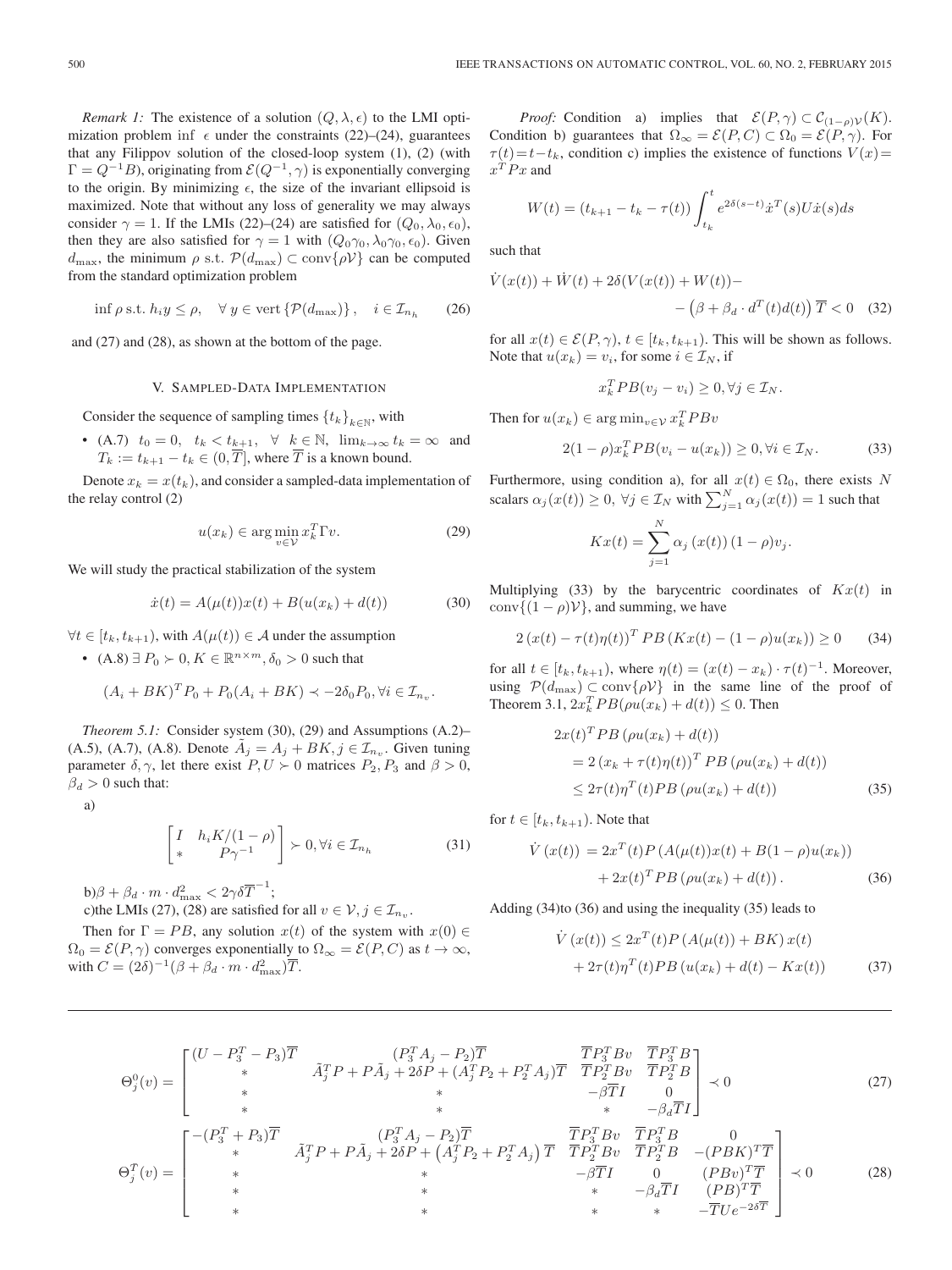*Remark 1:* The existence of a solution  $(Q, \lambda, \epsilon)$  to the LMI optimization problem inf  $\epsilon$  under the constraints (22)–(24), guarantees that any Filippov solution of the closed-loop system (1), (2) (with  $\Gamma = Q^{-1}B$ , originating from  $\mathcal{E}(Q^{-1}, \gamma)$  is exponentially converging to the origin. By minimizing  $\epsilon$ , the size of the invariant ellipsoid is maximized. Note that without any loss of generality we may always consider  $\gamma = 1$ . If the LMIs (22)–(24) are satisfied for  $(Q_0, \lambda_0, \epsilon_0)$ , then they are also satisfied for  $\gamma = 1$  with  $(Q_0 \gamma_0, \lambda_0 \gamma_0, \epsilon_0)$ . Given  $d_{\text{max}}$ , the minimum  $\rho$  s.t.  $\mathcal{P}(d_{\text{max}}) \subset \text{conv}\{\rho V\}$  can be computed from the standard optimization problem

$$
\inf \rho \text{ s.t. } h_i y \le \rho, \quad \forall \ y \in \text{vert } \{ \mathcal{P}(d_{\text{max}}) \}, \quad i \in \mathcal{I}_{n_h} \qquad (26)
$$

and (27) and (28), as shown at the bottom of the page.

# V. SAMPLED-DATA IMPLEMENTATION

Consider the sequence of sampling times  $\{t_k\}_{k\in\mathbb{N}}$ , with

• (A.7)  $t_0 = 0$ ,  $t_k < t_{k+1}$ ,  $\forall$   $k \in \mathbb{N}$ ,  $\lim_{k \to \infty} t_k = \infty$  and  $T_k := t_{k+1} - t_k \in (0, T]$ , where T is a known bound.

Denote  $x_k = x(t_k)$ , and consider a sampled-data implementation of the relay control (2)

$$
u(x_k) \in \arg\min_{v \in \mathcal{V}} x_k^T \Gamma v. \tag{29}
$$

We will study the practical stabilization of the system

$$
\dot{x}(t) = A(\mu(t))x(t) + B(u(x_k) + d(t))
$$
\n(30)

 $\forall t \in [t_k, t_{k+1}),$  with  $A(\mu(t)) \in \mathcal{A}$  under the assumption

• (A.8)  $\exists P_0 \succ 0, K \in \mathbb{R}^{n \times m}, \delta_0 > 0$  such that

$$
(A_i + BK)^T P_0 + P_0(A_i + BK) \prec -2\delta_0 P_0, \forall i \in \mathcal{I}_{n_v}.
$$

*Theorem 5.1:* Consider system (30), (29) and Assumptions (A.2)– (A.5), (A.7), (A.8). Denote  $A_j = A_j + BK$ ,  $j \in \mathcal{I}_{n_v}$ . Given tuning parameter  $\delta, \gamma$ , let there exist  $P, U \succ 0$  matrices  $P_2, P_3$  and  $\beta > 0$ ,  $\beta_d > 0$  such that:

a)

$$
\begin{bmatrix} I & h_i K/(1-\rho) \\ * & P\gamma^{-1} \end{bmatrix} \succ 0, \forall i \in \mathcal{I}_{n_h}
$$
 (31)

b) $\beta + \beta_d \cdot m \cdot d_{\max}^2 < 2\gamma \delta \overline{T}^{-1};$ c)the LMIs (27), (28) are satisfied for all  $v \in \mathcal{V}, j \in \mathcal{I}_{n_v}$ .

Then for  $\Gamma = PB$ , any solution  $x(t)$  of the system with  $x(0) \in$  $\Omega_0 = \mathcal{E}(P, \gamma)$  converges exponentially to  $\Omega_{\infty} = \mathcal{E}(P, C)$  as  $t \to \infty$ , with  $C = (2\delta)^{-1}(\beta + \beta_d \cdot m \cdot d_{\max}^2)\overline{T}.$ 

*Proof:* Condition a) implies that  $\mathcal{E}(P, \gamma) \subset C_{(1-\rho)\mathcal{V}}(K)$ . Condition b) guarantees that  $\Omega_{\infty} = \mathcal{E}(P, C) \subset \Omega_0 = \mathcal{E}(P, \gamma)$ . For  $\tau(t) = t-t_k$ , condition c) implies the existence of functions  $V(x)$  $\boldsymbol{x}^T\boldsymbol{P}\boldsymbol{x}$  and

$$
W(t) = (t_{k+1} - t_k - \tau(t)) \int_{t_k}^t e^{2\delta(s-t)} \dot{x}^T(s) U \dot{x}(s) ds
$$

such that

$$
\dot{V}(x(t)) + \dot{W}(t) + 2\delta(V(x(t)) + W(t)) -
$$
  
-
$$
(\beta + \beta_d \cdot d^T(t)d(t))\overline{T} < 0
$$
 (32)

for all  $x(t) \in \mathcal{E}(P, \gamma)$ ,  $t \in [t_k, t_{k+1})$ . This will be shown as follows. Note that  $u(x_k) = v_i$ , for some  $i \in \mathcal{I}_N$ , if

$$
x_k^T P B(v_j - v_i) \ge 0, \forall j \in \mathcal{I}_N.
$$

Then for  $u(x_k) \in \arg\min_{v \in \mathcal{V}} x_k^T P B v$ 

$$
2(1 - \rho)x_k^T P B(v_i - u(x_k)) \ge 0, \forall i \in \mathcal{I}_N. \tag{33}
$$

Furthermore, using condition a), for all  $x(t) \in \Omega_0$ , there exists N scalars  $\alpha_j(x(t)) \ge 0$ ,  $\forall j \in \mathcal{I}_N$  with  $\sum_{j=1}^N \alpha_j(x(t)) = 1$  such that

$$
Kx(t) = \sum_{j=1}^{N} \alpha_j (x(t)) (1 - \rho) v_j.
$$

Multiplying (33) by the barycentric coordinates of  $Kx(t)$  in conv $\{(1 - \rho)\mathcal{V}\}\$ , and summing, we have

$$
2(x(t) - \tau(t)\eta(t))^T PB (Kx(t) - (1 - \rho)u(x_k)) \ge 0
$$
 (34)

for all  $t \in [t_k, t_{k+1})$ , where  $\eta(t) = (x(t) - x_k) \cdot \tau(t)^{-1}$ . Moreover, using  $\mathcal{P}(d_{\text{max}}) \subset \text{conv}\{\rho V\}$  in the same line of the proof of Theorem 3.1,  $2x_k^T PB(\rho u(x_k) + d(t)) \leq 0$ . Then

$$
2x(t)^{T}PB\left(\rho u(x_{k})+d(t)\right)
$$
  
= 2\left(x\_{k}+\tau(t)\eta(t)\right)^{T}PB\left(\rho u(x\_{k})+d(t)\right)  

$$
\leq 2\tau(t)\eta^{T}(t)PB\left(\rho u(x_{k})+d(t)\right)
$$
(35)

for  $t \in [t_k, t_{k+1})$ . Note that

$$
\dot{V}(x(t)) = 2x^{T}(t)P(A(\mu(t))x(t) + B(1 - \rho)u(x_{k})) + 2x(t)^{T}PB(\rho u(x_{k}) + d(t)).
$$
\n(36)

Adding (34)to (36) and using the inequality (35) leads to

$$
\dot{V}(x(t)) \le 2x^{T}(t)P(A(\mu(t)) + BK)x(t)
$$
  
+ 2\tau(t)\eta^{T}(t)PB(u(x\_{k}) + d(t) - Kx(t)) (37)

$$
\Theta_{j}^{0}(v) = \begin{bmatrix}\n(U - P_{3}^{T} - P_{3})\overline{T} & (P_{3}^{T}A_{j} - P_{2})\overline{T} & \overline{T}P_{3}^{T}Bv & \overline{T}P_{3}^{T}B \\
* & \tilde{A}_{j}^{T}P + P\tilde{A}_{j} + 2\delta P + (A_{j}^{T}P_{2} + P_{2}^{T}A_{j})\overline{T} & \overline{T}P_{2}^{T}Bv & \overline{T}P_{2}^{T}B \\
* & * & * & -\beta\overline{T}I & 0 \\
* & * & * & -\beta\overline{T}I & 0 \\
* & * & * & -\beta\overline{T}I\n\end{bmatrix} \prec 0
$$
\n(27)\n
$$
\Theta_{j}^{\overline{T}}(v) = \begin{bmatrix}\n-(P_{3}^{T} + P_{3})\overline{T} & \tilde{A}_{j}^{T}P + P\tilde{A}_{j} + 2\delta P + (A_{j}^{T}P_{2} + P_{2}^{T}A_{j})\overline{T} & \overline{T}P_{2}^{T}Bv & \overline{T}P_{3}^{T}B & 0 \\
* & * & * & -\beta\overline{T}I & 0 \\
* & * & * & -\beta\overline{T}I & 0 & (PBv)^{T}\overline{T} \\
* & * & * & * & -\beta\overline{T}I & (PB)^{T}\overline{T} \\
* & * & * & * & -\overline{T}Ue^{-2\delta T}\n\end{bmatrix} \prec 0
$$
\n(28)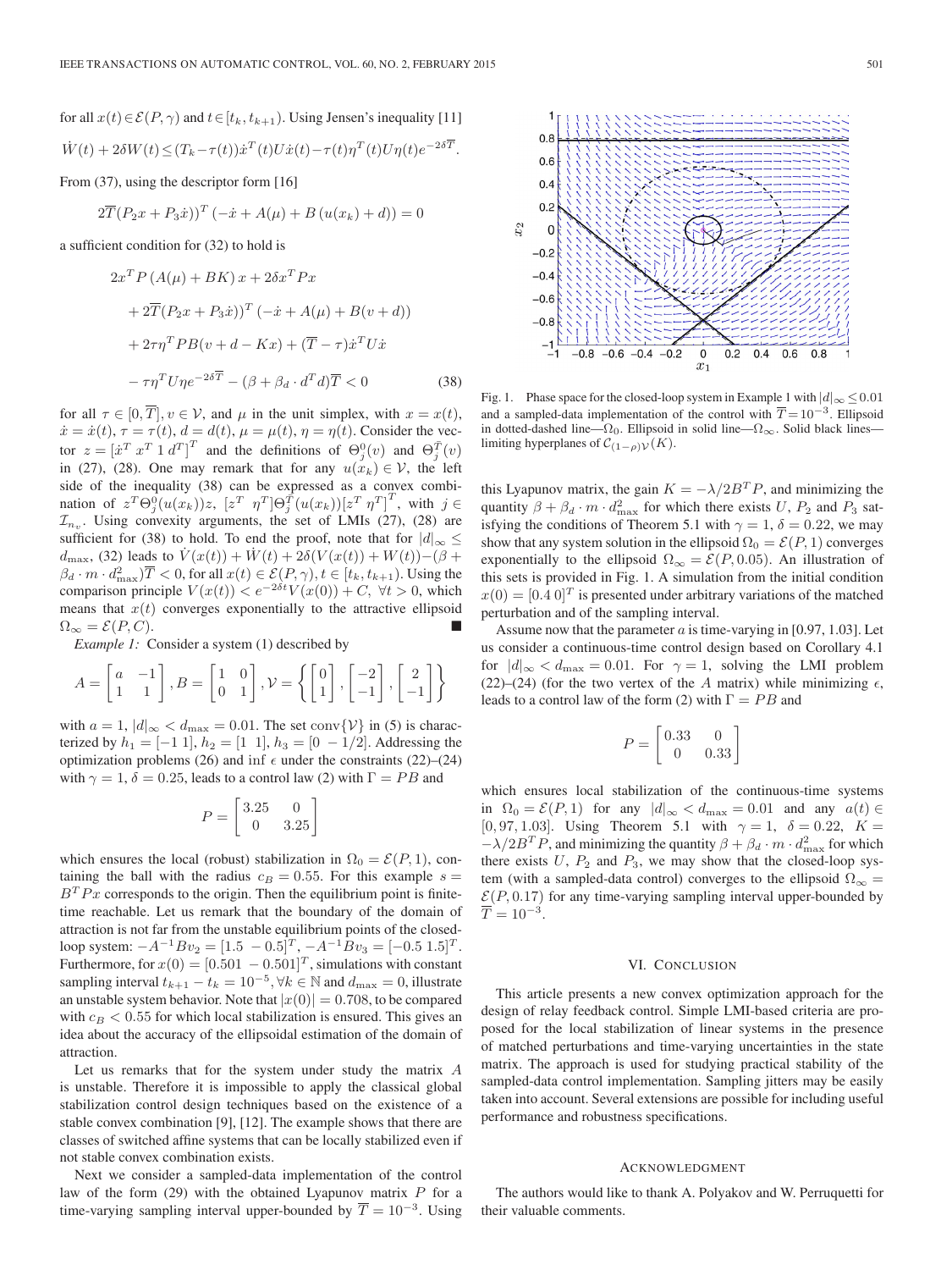for all 
$$
x(t) \in \mathcal{E}(P, \gamma)
$$
 and  $t \in [t_k, t_{k+1})$ . Using Jensen's inequality [11]  
\n
$$
\dot{W}(t) + 2\delta W(t) \le (T_k - \tau(t))\dot{x}^T(t)U\dot{x}(t) - \tau(t)\eta^T(t)U\eta(t)e^{-2\delta \overline{T}}.
$$

From (37), using the descriptor form [16]

$$
2\overline{T}(P_2x + P_3\dot{x}))^T(-\dot{x} + A(\mu) + B(u(x_k) + d)) = 0
$$

a sufficient condition for (32) to hold is

$$
2x^{T} P (A(\mu) + BK) x + 2\delta x^{T} P x
$$
  
+ 
$$
2\overline{T} (P_{2}x + P_{3}x))^{T} (-\dot{x} + A(\mu) + B(v + d))
$$
  
+ 
$$
2\tau \eta^{T} P B (v + d - Kx) + (\overline{T} - \tau) \dot{x}^{T} U \dot{x}
$$
  
- 
$$
-\tau \eta^{T} U \eta e^{-2\delta \overline{T}} - (\beta + \beta_{d} \cdot d^{T} d) \overline{T} < 0
$$
(38)

for all  $\tau \in [0, \overline{T}], v \in V$ , and  $\mu$  in the unit simplex, with  $x = x(t)$ ,  $\dot{x} = \dot{x}(t), \tau = \tau(t), d = d(t), \mu = \mu(t), \eta = \eta(t)$ . Consider the vector  $z = [\dot{x}^T \dot{x}^T \dot{x}^T \dot{x}^T]^T$  and the definitions of  $\Theta_j^0(v)$  and  $\Theta_j^{\bar{T}}(v)$ in (27), (28). One may remark that for any  $u(x_k) \in V$ , the left side of the inequality (38) can be expressed as a convex combination of  $z^T\Theta_j^{\hat{0}}(u(x_k))z$ ,  $[z^T \ \eta^T]\Theta_j^{\hat{T}}(u(x_k))[z^T \ \eta^T]^T$ , with  $j \in$  $\mathcal{I}_{n_v}$ . Using convexity arguments, the set of LMIs (27), (28) are sufficient for (38) to hold. To end the proof, note that for  $|d|_{\infty} \leq$  $d_{\text{max}}$ , (32) leads to  $\dot{V}(x(t)) + \dot{W}(t) + 2\delta(V(x(t)) + W(t)) - (\beta +$  $\beta_d \cdot m \cdot d_{\text{max}}^2$ ) $\overline{T}$  < 0, for all  $x(t) \in \mathcal{E}(P, \gamma), t \in [t_k, t_{k+1})$ . Using the comparison principle  $V(x(t)) < e^{-2\delta t} V(x(0)) + C$ ,  $\forall t > 0$ , which means that  $x(t)$  converges exponentially to the attractive ellipsoid  $\Omega_{\infty} = \mathcal{E}(P, C).$ 

*Example 1:* Consider a system (1) described by

$$
A = \begin{bmatrix} a & -1 \\ 1 & 1 \end{bmatrix}, B = \begin{bmatrix} 1 & 0 \\ 0 & 1 \end{bmatrix}, \mathcal{V} = \left\{ \begin{bmatrix} 0 \\ 1 \end{bmatrix}, \begin{bmatrix} -2 \\ -1 \end{bmatrix}, \begin{bmatrix} 2 \\ -1 \end{bmatrix} \right\}
$$

with  $a = 1$ ,  $|d|_{\infty} < d_{\text{max}} = 0.01$ . The set conv $\{\mathcal{V}\}\$ in (5) is characterized by  $h_1 = [-1 \ 1], h_2 = [1 \ 1], h_3 = [0 \ -1/2]$ . Addressing the optimization problems (26) and inf  $\epsilon$  under the constraints (22)–(24) with  $\gamma = 1$ ,  $\delta = 0.25$ , leads to a control law (2) with  $\Gamma = PB$  and

$$
P = \begin{bmatrix} 3.25 & 0 \\ 0 & 3.25 \end{bmatrix}
$$

which ensures the local (robust) stabilization in  $\Omega_0 = \mathcal{E}(P, 1)$ , containing the ball with the radius  $c_B = 0.55$ . For this example  $s =$  $B<sup>T</sup> P x$  corresponds to the origin. Then the equilibrium point is finitetime reachable. Let us remark that the boundary of the domain of attraction is not far from the unstable equilibrium points of the closedloop system:  $-A^{-1}Bv_2 = [1.5 \ -0.5]^T$ ,  $-A^{-1}Bv_3 = [-0.5 \ 1.5]^T$ . Furthermore, for  $x(0) = [0.501 - 0.501]^T$ , simulations with constant sampling interval  $t_{k+1} - t_k = 10^{-5}$ ,  $\forall k \in \mathbb{N}$  and  $d_{\max} = 0$ , illustrate an unstable system behavior. Note that  $|x(0)| = 0.708$ , to be compared with  $c_B < 0.55$  for which local stabilization is ensured. This gives an idea about the accuracy of the ellipsoidal estimation of the domain of attraction.

Let us remarks that for the system under study the matrix A is unstable. Therefore it is impossible to apply the classical global stabilization control design techniques based on the existence of a stable convex combination [9], [12]. The example shows that there are classes of switched affine systems that can be locally stabilized even if not stable convex combination exists.

Next we consider a sampled-data implementation of the control law of the form  $(29)$  with the obtained Lyapunov matrix  $P$  for a time-varying sampling interval upper-bounded by  $\overline{T} = 10^{-3}$ . Using



Fig. 1. Phase space for the closed-loop system in Example 1 with  $|d|_{\infty} \le 0.01$ and a sampled-data implementation of the control with  $\overline{T} = 10^{-3}$ . Ellipsoid in dotted-dashed line— $\Omega_0$ . Ellipsoid in solid line— $\Omega_{\infty}$ . Solid black lines limiting hyperplanes of  $C_{(1-\rho)\mathcal{V}}(K)$ .

this Lyapunov matrix, the gain  $K = -\lambda/2B^{T}P$ , and minimizing the quantity  $\beta + \beta_d \cdot m \cdot d_{\text{max}}^2$  for which there exists U,  $P_2$  and  $P_3$  satisfying the conditions of Theorem 5.1 with  $\gamma = 1$ ,  $\delta = 0.22$ , we may show that any system solution in the ellipsoid  $\Omega_0 = \mathcal{E}(P, 1)$  converges exponentially to the ellipsoid  $\Omega_{\infty} = \mathcal{E}(P, 0.05)$ . An illustration of this sets is provided in Fig. 1. A simulation from the initial condition  $x(0) = [0.4 \, 0]^T$  is presented under arbitrary variations of the matched perturbation and of the sampling interval.

Assume now that the parameter  $a$  is time-varying in [0.97, 1.03]. Let us consider a continuous-time control design based on Corollary 4.1 for  $|d|_{\infty} < d_{\text{max}} = 0.01$ . For  $\gamma = 1$ , solving the LMI problem (22)–(24) (for the two vertex of the A matrix) while minimizing  $\epsilon$ , leads to a control law of the form (2) with  $\Gamma = PB$  and

$$
P = \begin{bmatrix} 0.33 & 0 \\ 0 & 0.33 \end{bmatrix}
$$

which ensures local stabilization of the continuous-time systems in  $\Omega_0 = \mathcal{E}(P, 1)$  for any  $|d|_{\infty} < d_{\text{max}} = 0.01$  and any  $a(t) \in$ [0, 97, 1.03]. Using Theorem 5.1 with  $\gamma = 1$ ,  $\delta = 0.22$ ,  $K =$  $-\lambda/2B^{T}P$ , and minimizing the quantity  $\beta + \beta_{d} \cdot m \cdot d_{\text{max}}^{2}$  for which there exists  $U$ ,  $P_2$  and  $P_3$ , we may show that the closed-loop system (with a sampled-data control) converges to the ellipsoid  $\Omega_{\infty}$  =  $\mathcal{E}(P, 0.17)$  for any time-varying sampling interval upper-bounded by  $\overline{T} = 10^{-3}$ .

### VI. CONCLUSION

This article presents a new convex optimization approach for the design of relay feedback control. Simple LMI-based criteria are proposed for the local stabilization of linear systems in the presence of matched perturbations and time-varying uncertainties in the state matrix. The approach is used for studying practical stability of the sampled-data control implementation. Sampling jitters may be easily taken into account. Several extensions are possible for including useful performance and robustness specifications.

## ACKNOWLEDGMENT

The authors would like to thank A. Polyakov and W. Perruquetti for their valuable comments.